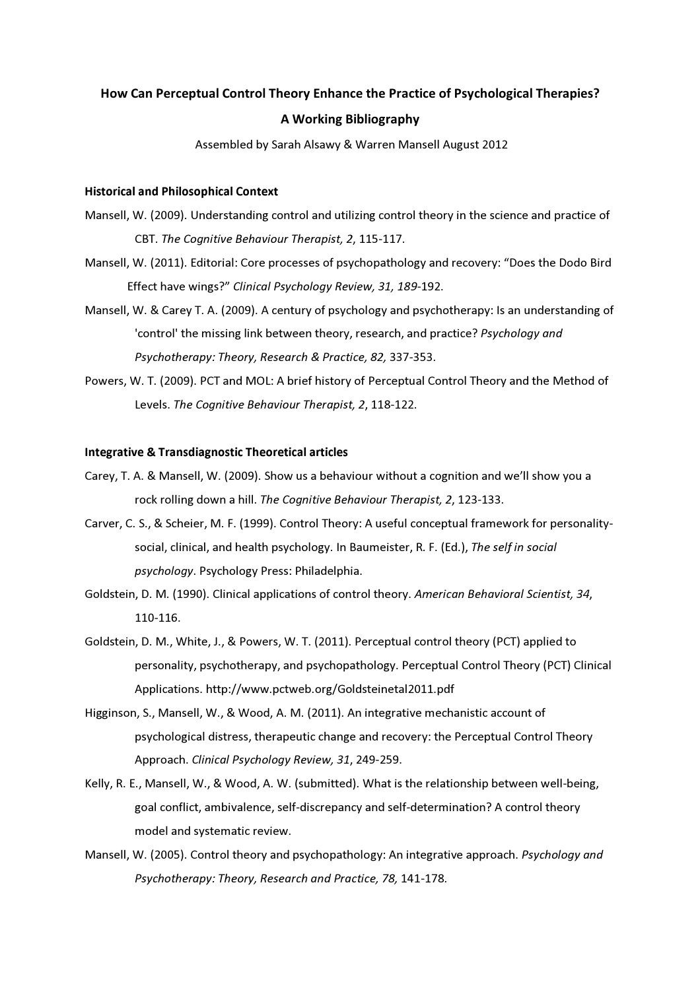# How Can Perceptual Control Theory Enhance the Practice of Psychological Therapies? A Working Bibliography

Assembled by Sarah Alsawy & Warren Mansell August 2012

## **Historical and Philosophical Context**

- Mansell, W. (2009). Understanding control and utilizing control theory in the science and practice of CBT. The Cognitive Behaviour Therapist, 2, 115-117.
- Mansell, W. (2011). Editorial: Core processes of psychopathology and recovery: "Does the Dodo Bird Effect have wings?" Clinical Psychology Review, 31, 189-192.
- Mansell, W. & Carey T. A. (2009). A century of psychology and psychotherapy: Is an understanding of 'control' the missing link between theory, research, and practice? Psychology and Psychotherapy: Theory, Research & Practice, 82, 337-353.
- Powers, W. T. (2009). PCT and MOL: A brief history of Perceptual Control Theory and the Method of Levels. The Cognitive Behaviour Therapist, 2, 118-122.

## **Integrative & Transdiagnostic Theoretical articles**

- Carey, T. A. & Mansell, W. (2009). Show us a behaviour without a cognition and we'll show you a rock rolling down a hill. The Cognitive Behaviour Therapist, 2, 123-133.
- Carver, C. S., & Scheier, M. F. (1999). Control Theory: A useful conceptual framework for personalitysocial, clinical, and health psychology. In Baumeister, R. F. (Ed.), The self in social psychology. Psychology Press: Philadelphia.
- Goldstein, D. M. (1990). Clinical applications of control theory. American Behavioral Scientist, 34, 110-116.
- Goldstein, D. M., White, J., & Powers, W. T. (2011). Perceptual control theory (PCT) applied to personality, psychotherapy, and psychopathology. Perceptual Control Theory (PCT) Clinical Applications. http://www.pctweb.org/Goldsteinetal2011.pdf
- Higginson, S., Mansell, W., & Wood, A. M. (2011). An integrative mechanistic account of psychological distress, therapeutic change and recovery: the Perceptual Control Theory Approach. Clinical Psychology Review, 31, 249-259.
- Kelly, R. E., Mansell, W., & Wood, A. W. (submitted). What is the relationship between well-being, goal conflict, ambivalence, self-discrepancy and self-determination? A control theory model and systematic review.
- Mansell, W. (2005). Control theory and psychopathology: An integrative approach. Psychology and Psychotherapy: Theory, Research and Practice, 78, 141-178.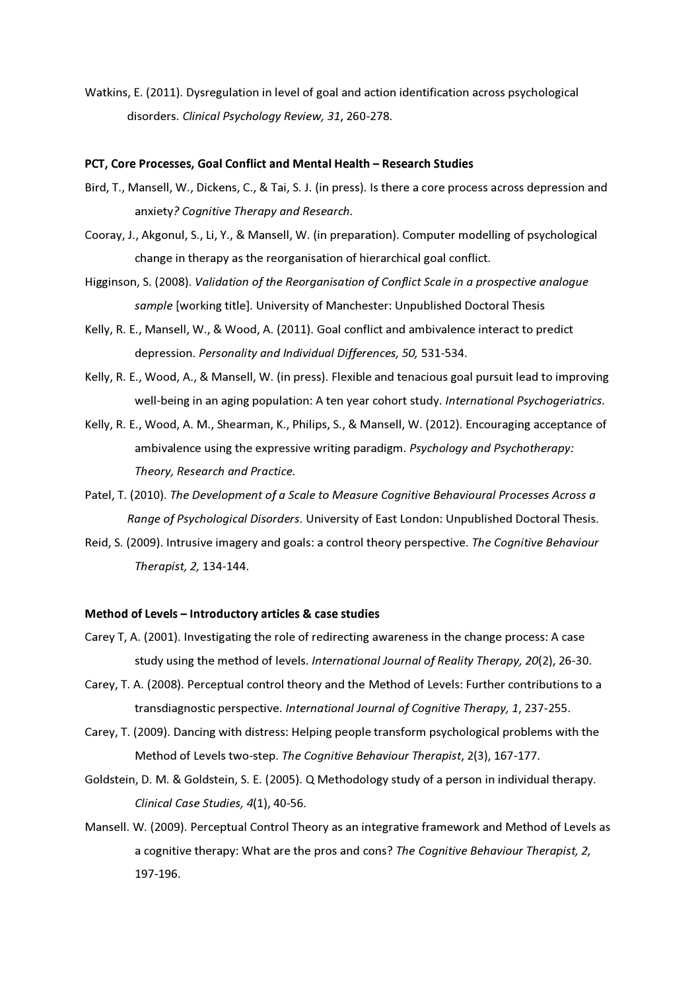Watkins, E. (2011). Dysregulation in level of goal and action identification across psychological disorders. Clinical Psychology Review, 31, 260-278.

#### PCT, Core Processes, Goal Conflict and Mental Health - Research Studies

- Bird, T., Mansell, W., Dickens, C., & Tai, S. J. (in press). Is there a core process across depression and anxiety? Cognitive Therapy and Research.
- Cooray, J., Akgonul, S., Li, Y., & Mansell, W. (in preparation). Computer modelling of psychological change in therapy as the reorganisation of hierarchical goal conflict.
- Higginson, S. (2008). Validation of the Reorganisation of Conflict Scale in a prospective analogue sample [working title]. University of Manchester: Unpublished Doctoral Thesis
- Kelly, R. E., Mansell, W., & Wood, A. (2011). Goal conflict and ambivalence interact to predict depression. Personality and Individual Differences, 50, 531-534.
- Kelly, R. E., Wood, A., & Mansell, W. (in press). Flexible and tenacious goal pursuit lead to improving well-being in an aging population: A ten year cohort study. International Psychogeriatrics.
- Kelly, R. E., Wood, A. M., Shearman, K., Philips, S., & Mansell, W. (2012). Encouraging acceptance of ambivalence using the expressive writing paradigm. Psychology and Psychotherapy: Theory, Research and Practice.
- Patel, T. (2010). The Development of a Scale to Measure Cognitive Behavioural Processes Across a Range of Psychological Disorders. University of East London: Unpublished Doctoral Thesis.
- Reid, S. (2009). Intrusive imagery and goals: a control theory perspective. The Cognitive Behaviour Therapist, 2, 134-144.

#### Method of Levels - Introductory articles & case studies

- Carey T, A. (2001). Investigating the role of redirecting awareness in the change process: A case study using the method of levels. International Journal of Reality Therapy, 20(2), 26-30.
- Carey, T. A. (2008). Perceptual control theory and the Method of Levels: Further contributions to a transdiagnostic perspective. International Journal of Cognitive Therapy, 1, 237-255.
- Carey, T. (2009). Dancing with distress: Helping people transform psychological problems with the Method of Levels two-step. The Cognitive Behaviour Therapist, 2(3), 167-177.
- Goldstein, D. M. & Goldstein, S. E. (2005). Q Methodology study of a person in individual therapy. Clinical Case Studies, 4(1), 40-56.
- Mansell. W. (2009). Perceptual Control Theory as an integrative framework and Method of Levels as a cognitive therapy: What are the pros and cons? The Cognitive Behaviour Therapist, 2, 197-196.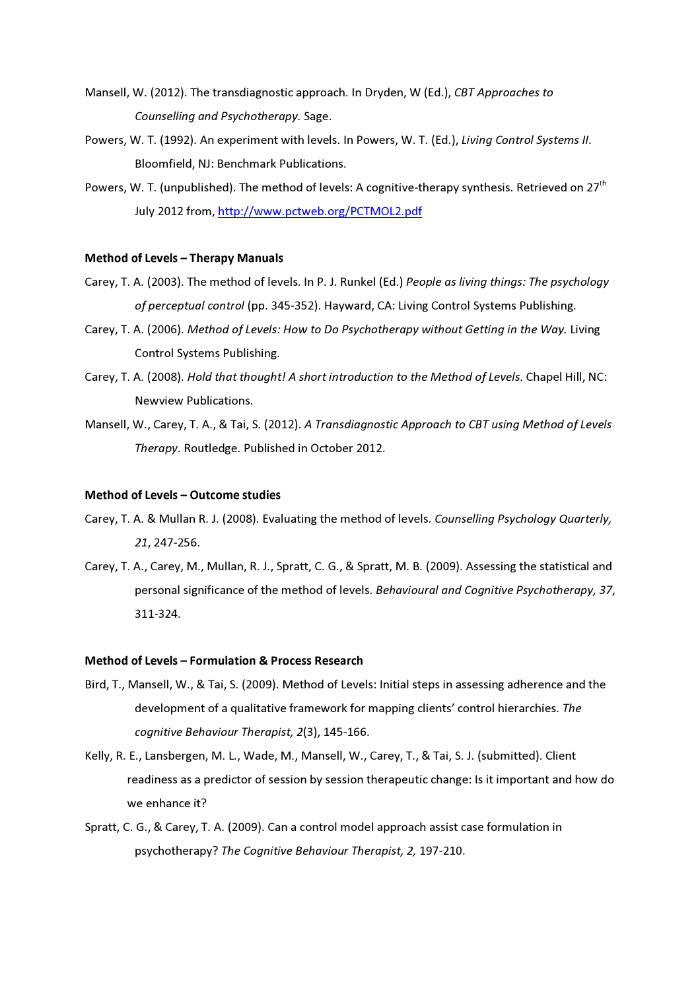- Mansell, W. (2012). The transdiagnostic approach. In Dryden, W (Ed.), CBT Approaches to Counselling and Psychotherapy. Sage.
- Powers, W. T. (1992). An experiment with levels. In Powers, W. T. (Ed.), Living Control Systems II. Bloomfield, NJ: Benchmark Publications.
- Powers, W. T. (unpublished). The method of levels: A cognitive-therapy synthesis. Retrieved on 27<sup>th</sup> July 2012 from, http://www.pctweb.org/PCTMOL2.pdf

#### **Method of Levels - Therapy Manuals**

- Carey, T. A. (2003). The method of levels. In P. J. Runkel (Ed.) People as living things: The psychology of perceptual control (pp. 345-352). Hayward, CA: Living Control Systems Publishing.
- Carey, T. A. (2006). Method of Levels: How to Do Psychotherapy without Getting in the Way. Living **Control Systems Publishing.**
- Carey, T. A. (2008). Hold that thought! A short introduction to the Method of Levels. Chapel Hill, NC: Newview Publications.
- Mansell, W., Carey, T. A., & Tai, S. (2012). A Transdiagnostic Approach to CBT using Method of Levels Therapy. Routledge. Published in October 2012.

## Method of Levels - Outcome studies

- Carey, T. A. & Mullan R. J. (2008). Evaluating the method of levels. Counselling Psychology Quarterly, 21.247-256.
- Carey, T. A., Carey, M., Mullan, R. J., Spratt, C. G., & Spratt, M. B. (2009). Assessing the statistical and personal significance of the method of levels. Behavioural and Cognitive Psychotherapy, 37, 311-324.

## Method of Levels - Formulation & Process Research

- Bird, T., Mansell, W., & Tai, S. (2009). Method of Levels: Initial steps in assessing adherence and the development of a qualitative framework for mapping clients' control hierarchies. The cognitive Behaviour Therapist, 2(3), 145-166.
- Kelly, R. E., Lansbergen, M. L., Wade, M., Mansell, W., Carey, T., & Tai, S. J. (submitted). Client readiness as a predictor of session by session therapeutic change: Is it important and how do we enhance it?
- Spratt, C. G., & Carey, T. A. (2009). Can a control model approach assist case formulation in psychotherapy? The Cognitive Behaviour Therapist, 2, 197-210.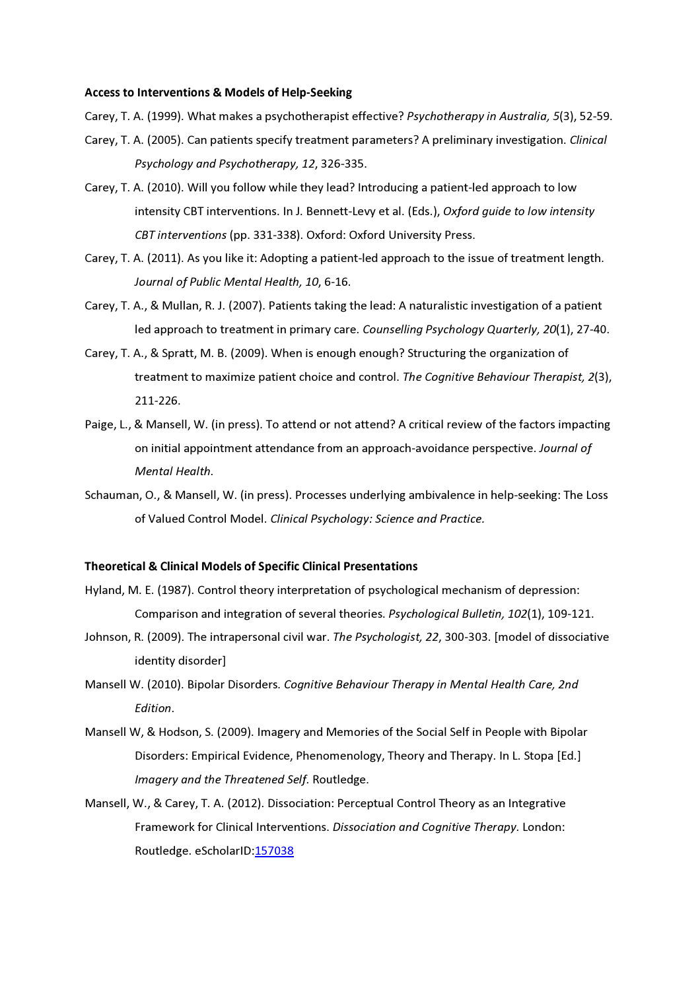#### **Access to Interventions & Models of Help-Seeking**

Carey, T. A. (1999). What makes a psychotherapist effective? Psychotherapy in Australia, 5(3), 52-59.

- Carey, T. A. (2005). Can patients specify treatment parameters? A preliminary investigation. Clinical Psychology and Psychotherapy, 12, 326-335.
- Carey, T. A. (2010). Will you follow while they lead? Introducing a patient-led approach to low intensity CBT interventions. In J. Bennett-Levy et al. (Eds.), Oxford quide to low intensity CBT interventions (pp. 331-338). Oxford: Oxford University Press.
- Carey, T. A. (2011). As you like it: Adopting a patient-led approach to the issue of treatment length. Journal of Public Mental Health, 10, 6-16.
- Carey, T. A., & Mullan, R. J. (2007). Patients taking the lead: A naturalistic investigation of a patient led approach to treatment in primary care. Counselling Psychology Quarterly, 20(1), 27-40.
- Carey, T. A., & Spratt, M. B. (2009). When is enough enough? Structuring the organization of treatment to maximize patient choice and control. The Cognitive Behaviour Therapist, 2(3), 211-226.
- Paige, L., & Mansell, W. (in press). To attend or not attend? A critical review of the factors impacting on initial appointment attendance from an approach-avoidance perspective. Journal of Mental Health.
- Schauman, O., & Mansell, W. (in press). Processes underlying ambivalence in help-seeking: The Loss of Valued Control Model. Clinical Psychology: Science and Practice.

## **Theoretical & Clinical Models of Specific Clinical Presentations**

- Hyland, M. E. (1987). Control theory interpretation of psychological mechanism of depression: Comparison and integration of several theories. Psychological Bulletin, 102(1), 109-121.
- Johnson, R. (2009). The intrapersonal civil war. The Psychologist, 22, 300-303. [model of dissociative identity disorder]
- Mansell W. (2010). Bipolar Disorders. Cognitive Behaviour Therapy in Mental Health Care, 2nd Fdition.
- Mansell W, & Hodson, S. (2009). Imagery and Memories of the Social Self in People with Bipolar Disorders: Empirical Evidence, Phenomenology, Theory and Therapy. In L. Stopa [Ed.] Imagery and the Threatened Self. Routledge.
- Mansell, W., & Carey, T. A. (2012). Dissociation: Perceptual Control Theory as an Integrative Framework for Clinical Interventions. Dissociation and Cognitive Therapy. London: Routledge. eScholarID:157038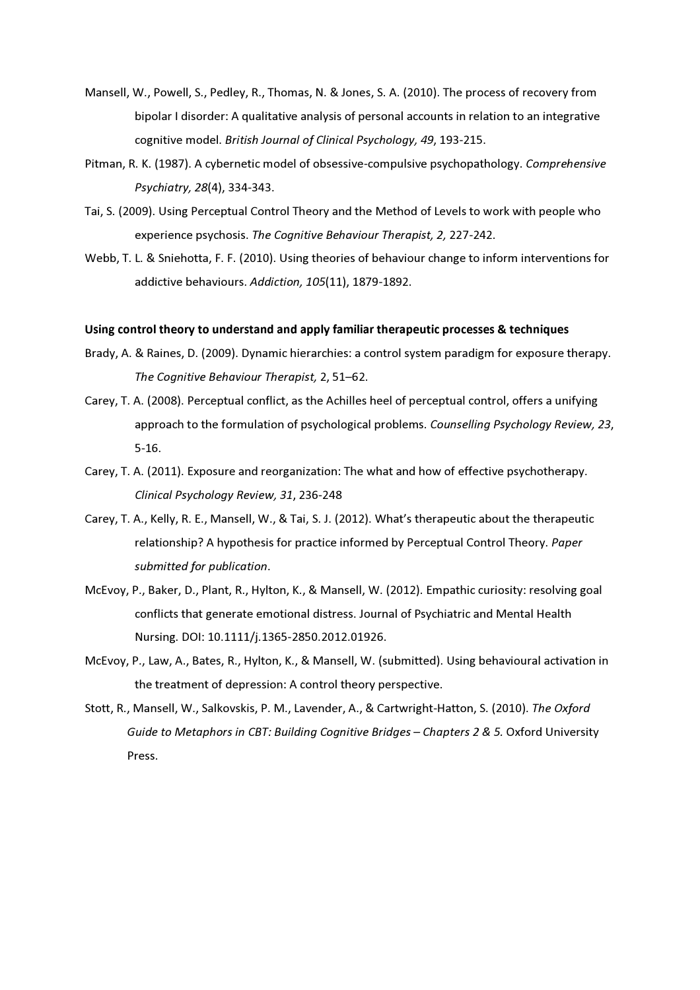- Mansell, W., Powell, S., Pedley, R., Thomas, N. & Jones, S. A. (2010). The process of recovery from bipolar I disorder: A qualitative analysis of personal accounts in relation to an integrative cognitive model. British Journal of Clinical Psychology, 49, 193-215.
- Pitman, R. K. (1987). A cybernetic model of obsessive-compulsive psychopathology. Comprehensive Psychiatry, 28(4), 334-343.
- Tai, S. (2009). Using Perceptual Control Theory and the Method of Levels to work with people who experience psychosis. The Cognitive Behaviour Therapist, 2, 227-242.
- Webb, T. L. & Sniehotta, F. F. (2010). Using theories of behaviour change to inform interventions for addictive behaviours. Addiction, 105(11), 1879-1892.

## Using control theory to understand and apply familiar therapeutic processes & techniques

- Brady, A. & Raines, D. (2009). Dynamic hierarchies: a control system paradigm for exposure therapy. The Cognitive Behaviour Therapist, 2, 51-62.
- Carey, T. A. (2008). Perceptual conflict, as the Achilles heel of perceptual control, offers a unifying approach to the formulation of psychological problems. Counselling Psychology Review, 23,  $5-16.$
- Carey, T. A. (2011). Exposure and reorganization: The what and how of effective psychotherapy. Clinical Psychology Review, 31, 236-248
- Carey, T. A., Kelly, R. E., Mansell, W., & Tai, S. J. (2012). What's therapeutic about the therapeutic relationship? A hypothesis for practice informed by Perceptual Control Theory. Paper submitted for publication.
- McEvoy, P., Baker, D., Plant, R., Hylton, K., & Mansell, W. (2012). Empathic curiosity: resolving goal conflicts that generate emotional distress. Journal of Psychiatric and Mental Health Nursing. DOI: 10.1111/j.1365-2850.2012.01926.
- McEvoy, P., Law, A., Bates, R., Hylton, K., & Mansell, W. (submitted). Using behavioural activation in the treatment of depression: A control theory perspective.
- Stott, R., Mansell, W., Salkovskis, P. M., Lavender, A., & Cartwright-Hatton, S. (2010). The Oxford Guide to Metaphors in CBT: Building Cognitive Bridges - Chapters 2 & 5. Oxford University Press.